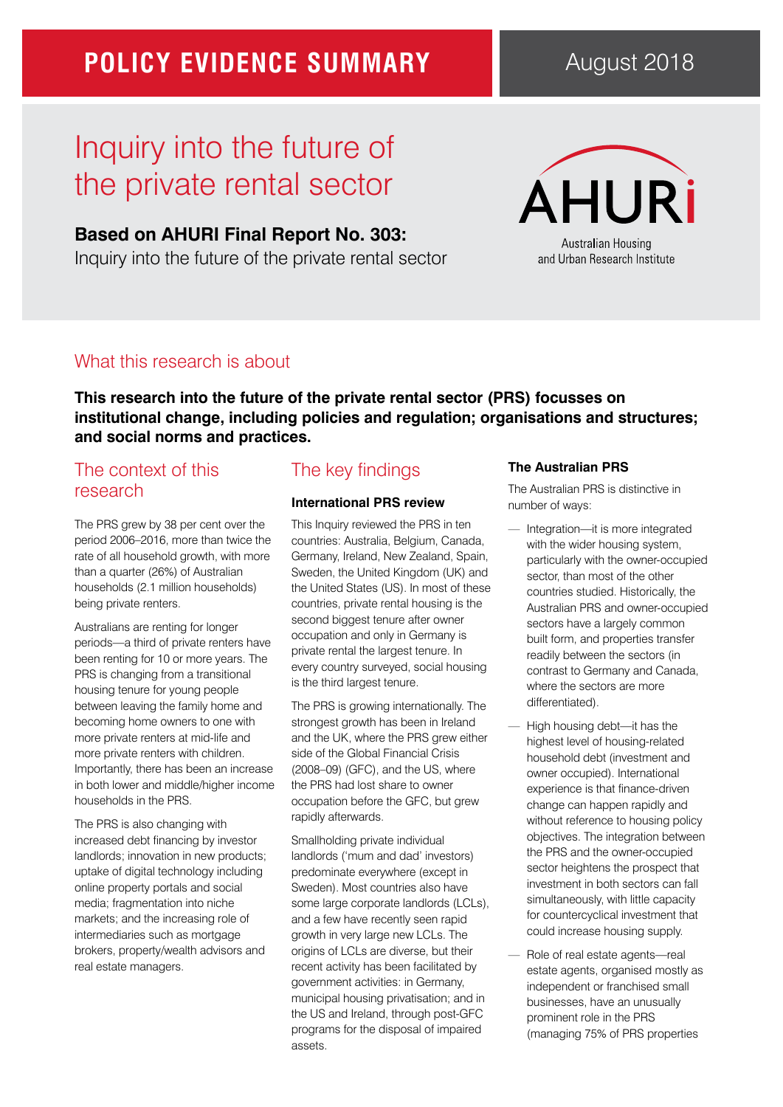## **POLICY EVIDENCE SUMMARY**

# Inquiry into the future of the private rental sector

### **Based on AHURI Final Report No. 303:**

Inquiry into the future of the private rental sector

# **ÁHURİ** Australian Housing

and Urban Research Institute

### What this research is about

**This research into the future of the private rental sector (PRS) focusses on institutional change, including policies and regulation; organisations and structures; and social norms and practices.**

## The context of this research

The PRS grew by 38 per cent over the period 2006–2016, more than twice the rate of all household growth, with more than a quarter (26%) of Australian households (2.1 million households) being private renters.

Australians are renting for longer periods—a third of private renters have been renting for 10 or more years. The PRS is changing from a transitional housing tenure for young people between leaving the family home and becoming home owners to one with more private renters at mid-life and more private renters with children. Importantly, there has been an increase in both lower and middle/higher income households in the PRS.

The PRS is also changing with increased debt financing by investor landlords; innovation in new products; uptake of digital technology including online property portals and social media; fragmentation into niche markets; and the increasing role of intermediaries such as mortgage brokers, property/wealth advisors and real estate managers.

## The key findings

### **International PRS review**

This Inquiry reviewed the PRS in ten countries: Australia, Belgium, Canada, Germany, Ireland, New Zealand, Spain, Sweden, the United Kingdom (UK) and the United States (US). In most of these countries, private rental housing is the second biggest tenure after owner occupation and only in Germany is private rental the largest tenure. In every country surveyed, social housing is the third largest tenure.

The PRS is growing internationally. The strongest growth has been in Ireland and the UK, where the PRS grew either side of the Global Financial Crisis (2008–09) (GFC), and the US, where the PRS had lost share to owner occupation before the GFC, but grew rapidly afterwards.

Smallholding private individual landlords ('mum and dad' investors) predominate everywhere (except in Sweden). Most countries also have some large corporate landlords (LCLs), and a few have recently seen rapid growth in very large new LCLs. The origins of LCLs are diverse, but their recent activity has been facilitated by government activities: in Germany, municipal housing privatisation; and in the US and Ireland, through post-GFC programs for the disposal of impaired assets.

#### **The Australian PRS**

The Australian PRS is distinctive in number of ways:

- Integration-it is more integrated with the wider housing system, particularly with the owner-occupied sector, than most of the other countries studied. Historically, the Australian PRS and owner-occupied sectors have a largely common built form, and properties transfer readily between the sectors (in contrast to Germany and Canada, where the sectors are more differentiated).
- High housing debt-it has the highest level of housing-related household debt (investment and owner occupied). International experience is that finance-driven change can happen rapidly and without reference to housing policy objectives. The integration between the PRS and the owner-occupied sector heightens the prospect that investment in both sectors can fall simultaneously, with little capacity for countercyclical investment that could increase housing supply.
- Role of real estate agents—real estate agents, organised mostly as independent or franchised small businesses, have an unusually prominent role in the PRS (managing 75% of PRS properties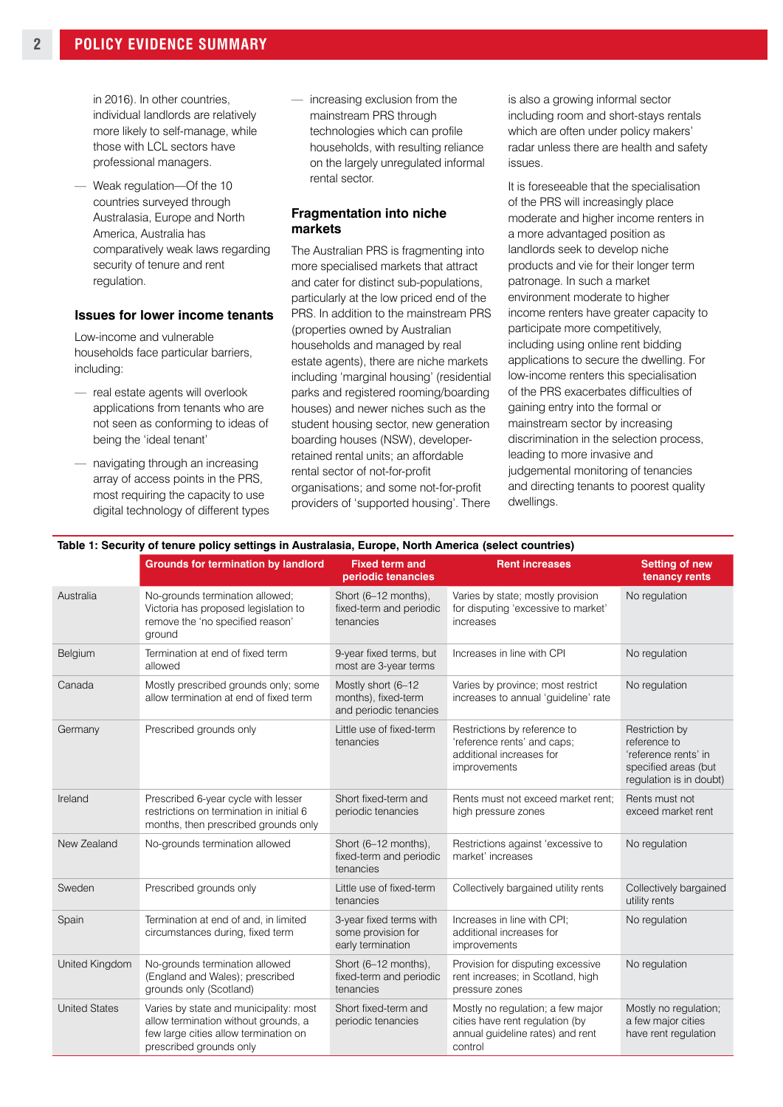in 2016). In other countries, individual landlords are relatively more likely to self-manage, while those with LCL sectors have professional managers.

Weak regulation-Of the 10 countries surveyed through Australasia, Europe and North America, Australia has comparatively weak laws regarding security of tenure and rent regulation.

#### **Issues for lower income tenants**

Low-income and vulnerable households face particular barriers, including:

- real estate agents will overlook applications from tenants who are not seen as conforming to ideas of being the 'ideal tenant'
- navigating through an increasing array of access points in the PRS, most requiring the capacity to use digital technology of different types

increasing exclusion from the mainstream PRS through technologies which can profile households, with resulting reliance on the largely unregulated informal rental sector.

#### **Fragmentation into niche markets**

The Australian PRS is fragmenting into more specialised markets that attract and cater for distinct sub-populations, particularly at the low priced end of the PRS. In addition to the mainstream PRS (properties owned by Australian households and managed by real estate agents), there are niche markets including 'marginal housing' (residential parks and registered rooming/boarding houses) and newer niches such as the student housing sector, new generation boarding houses (NSW), developerretained rental units; an affordable rental sector of not-for-profit organisations; and some not-for-profit providers of 'supported housing'. There

is also a growing informal sector including room and short-stays rentals which are often under policy makers' radar unless there are health and safety issues.

It is foreseeable that the specialisation of the PRS will increasingly place moderate and higher income renters in a more advantaged position as landlords seek to develop niche products and vie for their longer term patronage. In such a market environment moderate to higher income renters have greater capacity to participate more competitively, including using online rent bidding applications to secure the dwelling. For low-income renters this specialisation of the PRS exacerbates difficulties of gaining entry into the formal or mainstream sector by increasing discrimination in the selection process, leading to more invasive and judgemental monitoring of tenancies and directing tenants to poorest quality dwellings.

#### **Table 1: Security of tenure policy settings in Australasia, Europe, North America (select countries)**

|                      | <b>Grounds for termination by landlord</b>                                                                                                         | <b>Fixed term and</b><br>periodic tenancies                         | <b>Rent increases</b>                                                                                               | <b>Setting of new</b><br>tenancy rents                                                                    |
|----------------------|----------------------------------------------------------------------------------------------------------------------------------------------------|---------------------------------------------------------------------|---------------------------------------------------------------------------------------------------------------------|-----------------------------------------------------------------------------------------------------------|
| Australia            | No-grounds termination allowed;<br>Victoria has proposed legislation to<br>remove the 'no specified reason'<br>ground                              | Short (6-12 months),<br>fixed-term and periodic<br>tenancies        | Varies by state; mostly provision<br>for disputing 'excessive to market'<br>increases                               | No regulation                                                                                             |
| Belgium              | Termination at end of fixed term<br>allowed                                                                                                        | 9-year fixed terms, but<br>most are 3-year terms                    | Increases in line with CPI                                                                                          | No regulation                                                                                             |
| Canada               | Mostly prescribed grounds only; some<br>allow termination at end of fixed term                                                                     | Mostly short (6-12<br>months), fixed-term<br>and periodic tenancies | Varies by province; most restrict<br>increases to annual 'quideline' rate                                           | No regulation                                                                                             |
| Germany              | Prescribed grounds only                                                                                                                            | Little use of fixed-term<br>tenancies                               | Restrictions by reference to<br>'reference rents' and caps;<br>additional increases for<br>improvements             | Restriction by<br>reference to<br>'reference rents' in<br>specified areas (but<br>regulation is in doubt) |
| Ireland              | Prescribed 6-year cycle with lesser<br>restrictions on termination in initial 6<br>months, then prescribed grounds only                            | Short fixed-term and<br>periodic tenancies                          | Rents must not exceed market rent:<br>high pressure zones                                                           | Rents must not<br>exceed market rent                                                                      |
| New Zealand          | No-grounds termination allowed                                                                                                                     | Short (6-12 months),<br>fixed-term and periodic<br>tenancies        | Restrictions against 'excessive to<br>market' increases                                                             | No regulation                                                                                             |
| Sweden               | Prescribed grounds only                                                                                                                            | Little use of fixed-term<br>tenancies                               | Collectively bargained utility rents                                                                                | Collectively bargained<br>utility rents                                                                   |
| Spain                | Termination at end of and, in limited<br>circumstances during, fixed term                                                                          | 3-year fixed terms with<br>some provision for<br>early termination  | Increases in line with CPI;<br>additional increases for<br>improvements                                             | No regulation                                                                                             |
| United Kingdom       | No-grounds termination allowed<br>(England and Wales); prescribed<br>grounds only (Scotland)                                                       | Short (6-12 months),<br>fixed-term and periodic<br>tenancies        | Provision for disputing excessive<br>rent increases; in Scotland, high<br>pressure zones                            | No regulation                                                                                             |
| <b>United States</b> | Varies by state and municipality: most<br>allow termination without grounds, a<br>few large cities allow termination on<br>prescribed grounds only | Short fixed-term and<br>periodic tenancies                          | Mostly no regulation; a few major<br>cities have rent regulation (by<br>annual guideline rates) and rent<br>control | Mostly no regulation;<br>a few major cities<br>have rent regulation                                       |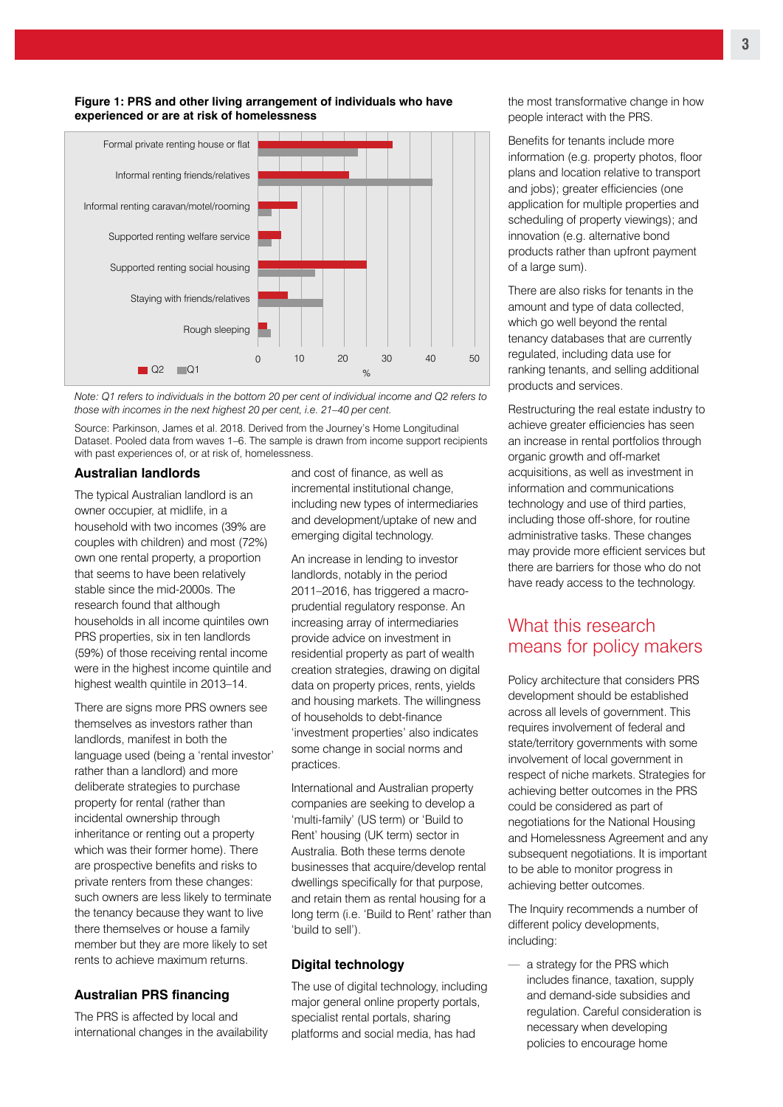

#### **Figure 1: PRS and other living arrangement of individuals who have experienced or are at risk of homelessness**

*Note: Q1 refers to individuals in the bottom 20 per cent of individual income and Q2 refers to those with incomes in the next highest 20 per cent, i.e. 21–40 per cent.*

Source: Parkinson, James et al. 2018. Derived from the Journey's Home Longitudinal Dataset. Pooled data from waves 1–6. The sample is drawn from income support recipients with past experiences of, or at risk of, homelessness.

#### **Australian landlords**

The typical Australian landlord is an owner occupier, at midlife, in a household with two incomes (39% are couples with children) and most (72%) own one rental property, a proportion that seems to have been relatively stable since the mid-2000s. The research found that although households in all income quintiles own PRS properties, six in ten landlords (59%) of those receiving rental income were in the highest income quintile and highest wealth quintile in 2013–14.

There are signs more PRS owners see themselves as investors rather than landlords, manifest in both the language used (being a 'rental investor' rather than a landlord) and more deliberate strategies to purchase property for rental (rather than incidental ownership through inheritance or renting out a property which was their former home). There are prospective benefits and risks to private renters from these changes: such owners are less likely to terminate the tenancy because they want to live there themselves or house a family member but they are more likely to set rents to achieve maximum returns.

#### **Australian PRS financing**

The PRS is affected by local and international changes in the availability

and cost of finance, as well as incremental institutional change, including new types of intermediaries and development/uptake of new and emerging digital technology.

An increase in lending to investor landlords, notably in the period 2011–2016, has triggered a macroprudential regulatory response. An increasing array of intermediaries provide advice on investment in residential property as part of wealth creation strategies, drawing on digital data on property prices, rents, yields and housing markets. The willingness of households to debt-finance 'investment properties' also indicates some change in social norms and practices.

International and Australian property companies are seeking to develop a 'multi-family' (US term) or 'Build to Rent' housing (UK term) sector in Australia. Both these terms denote businesses that acquire/develop rental dwellings specifically for that purpose, and retain them as rental housing for a long term (i.e. 'Build to Rent' rather than 'build to sell').

#### **Digital technology**

The use of digital technology, including major general online property portals, specialist rental portals, sharing platforms and social media, has had

the most transformative change in how people interact with the PRS.

Benefits for tenants include more information (e.g. property photos, floor plans and location relative to transport and jobs); greater efficiencies (one application for multiple properties and scheduling of property viewings); and innovation (e.g. alternative bond products rather than upfront payment of a large sum).

There are also risks for tenants in the amount and type of data collected, which go well beyond the rental tenancy databases that are currently regulated, including data use for ranking tenants, and selling additional products and services.

Restructuring the real estate industry to achieve greater efficiencies has seen an increase in rental portfolios through organic growth and off-market acquisitions, as well as investment in information and communications technology and use of third parties, including those off-shore, for routine administrative tasks. These changes may provide more efficient services but there are barriers for those who do not have ready access to the technology.

### What this research means for policy makers

Policy architecture that considers PRS development should be established across all levels of government. This requires involvement of federal and state/territory governments with some involvement of local government in respect of niche markets. Strategies for achieving better outcomes in the PRS could be considered as part of negotiations for the National Housing and Homelessness Agreement and any subsequent negotiations. It is important to be able to monitor progress in achieving better outcomes.

The Inquiry recommends a number of different policy developments, including:

— a strategy for the PRS which includes finance, taxation, supply and demand-side subsidies and regulation. Careful consideration is necessary when developing policies to encourage home